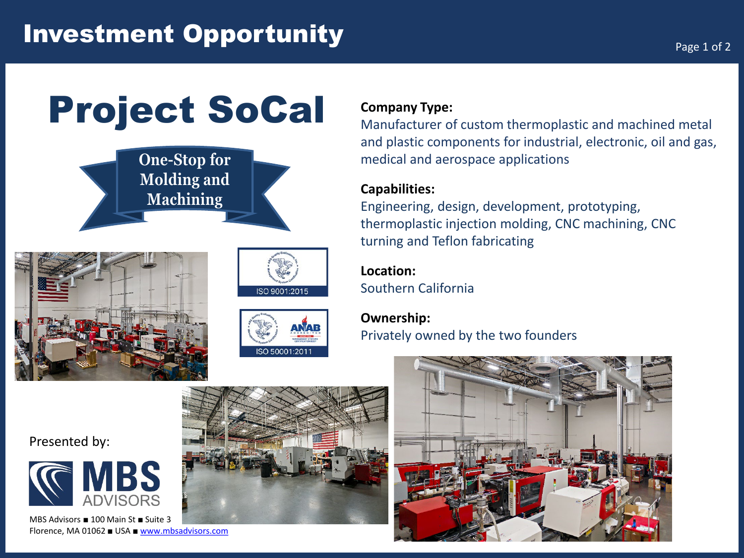# Project SoCal









#### **Company Type:**

Manufacturer of custom thermoplastic and machined metal and plastic components for industrial, electronic, oil and gas, medical and aerospace applications

### **Capabilities:**

Engineering, design, development, prototyping, thermoplastic injection molding, CNC machining, CNC turning and Teflon fabricating

## **Location:**

Southern California

# **Ownership:** Privately owned by the two founders



#### Presented by:



MBS Advisors ■ 100 Main St ■ Suite 3 Florence, MA 01062 ■ USA ■ [www.mbsadvisors.com](http://www.mbsadvisors.com/)